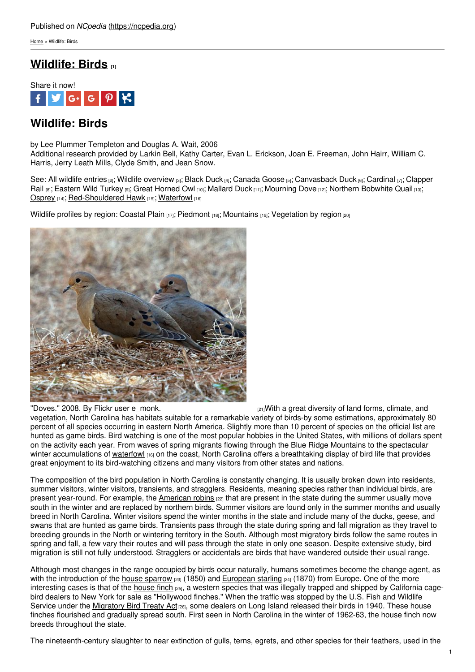[Home](https://ncpedia.org/) > Wildlife: Birds

## **[Wildlife:](https://ncpedia.org/wildlife/birds) Birds [1]**



# **Wildlife: Birds**

by Lee Plummer Templeton and Douglas A. Wait, 2006 Additional research provided by Larkin Bell, Kathy Carter, Evan L. Erickson, Joan E. Freeman, John Hairr, William C. Harris, Jerry Leath Mills, Clyde Smith, and Jean Snow.

See: All [wildlife](https://ncpedia.org/category/subjects/wildlife) entries [2]; Wildlife [overview](https://ncpedia.org/wildlife/overview) [3]; [Black](https://ncpedia.org/wildlife/black_duck) Duck [4]; [Canada](https://ncpedia.org/canada-goose-nc-wins) Goose [5]; [Canvasback](https://ncpedia.org/wildlife/clapper_rail) Duck [6]; [Cardinal](https://ncpedia.org/symbols/bird) [7]; Clapper Rail [8]; [Eastern](https://ncpedia.org/wildlife/turkey) Wild Turkey [9]; Great [Horned](https://ncpedia.org/wildlife/great-horned-owl) Owl [10]; [Mallard](https://ncpedia.org/wildlife/mallard-duck) Duck [11]; [Mourning](https://ncpedia.org/wildlife/mourning-dove) Dove [12]; Northern [Bobwhite](https://ncpedia.org/wildlife/northern-bobwhite-quail) Quail [13]; [Osprey](https://ncpedia.org/wildlife/osprey) [14]; [Red-Shouldered](https://ncpedia.org/wildlife/red-shouldered_hawk) Hawk [15]; [Waterfowl](https://ncpedia.org/waterfowl) [16]

Wildlife profiles by region: [Coastal](https://ncpedia.org/wildlife/coastal-plain) Plain [17]; [Piedmont](http://www.social9.com) [18]; [Mountains](https://ncpedia.org/wildlife/mountains) [19]; [Vegetation](https://ncpedia.org/vegetation) by region [20]



"Doves." 2008. By Flickr user [e\\_monk.](https://www.flickr.com/photos/e_monk/2254210914/)  $\frac{1}{21}$ With a great diversity of land forms, climate, and vegetation, North Carolina has habitats suitable for a remarkable variety of birds-by some estimations, approximately 80 percent of all species occurring in eastern North America. Slightly more than 10 percent of species on the official list are hunted as game birds. Bird watching is one of the most popular hobbies in the United States, with millions of dollars spent on the activity each year. From waves of spring migrants flowing through the Blue Ridge Mountains to the spectacular winter accumulations of [waterfowl](https://ncpedia.org/waterfowl) [16] on the coast, North Carolina offers a breathtaking display of bird life that provides great enjoyment to its bird-watching citizens and many visitors from other states and nations.

The composition of the bird population in North Carolina is constantly changing. It is usually broken down into residents, summer visitors, winter visitors, transients, and stragglers. Residents, meaning species rather than individual birds, are present year-round. For example, the [American](http://www.allaboutbirds.org/guide/American_Robin/id) robins [22] that are present in the state during the summer usually move south in the winter and are replaced by northern birds. Summer visitors are found only in the summer months and usually breed in North Carolina. Winter visitors spend the winter months in the state and include many of the ducks, geese, and swans that are hunted as game birds. Transients pass through the state during spring and fall migration as they travel to breeding grounds in the North or wintering territory in the South. Although most migratory birds follow the same routes in spring and fall, a few vary their routes and will pass through the state in only one season. Despite extensive study, bird migration is still not fully understood. Stragglers or accidentals are birds that have wandered outside their usual range.

Although most changes in the range occupied by birds occur naturally, humans sometimes become the change agent, as with the introduction of the house [sparrow](http://www.allaboutbirds.org/guide/House_Sparrow/id)  $[23]$  (1850) and [European](http://www.allaboutbirds.org/guide/european_starling/id) starling  $[24]$  (1870) from Europe. One of the more interesting cases is that of the [house](http://www.allaboutbirds.org/guide/house_finch/id) finch [25], a western species that was illegally trapped and shipped by California cagebird dealers to New York for sale as "Hollywood finches." When the traffic was stopped by the U.S. Fish and Wildlife Service under the [Migratory](http://www.fws.gov/migratorybirds/RegulationsPolicies/mbta/mbtintro.html) Bird Treaty Act [26], some dealers on Long Island released their birds in 1940. These house finches flourished and gradually spread south. First seen in North Carolina in the winter of 1962-63, the house finch now breeds throughout the state.

The nineteenth-century slaughter to near extinction of gulls, terns, egrets, and other species for their feathers, used in the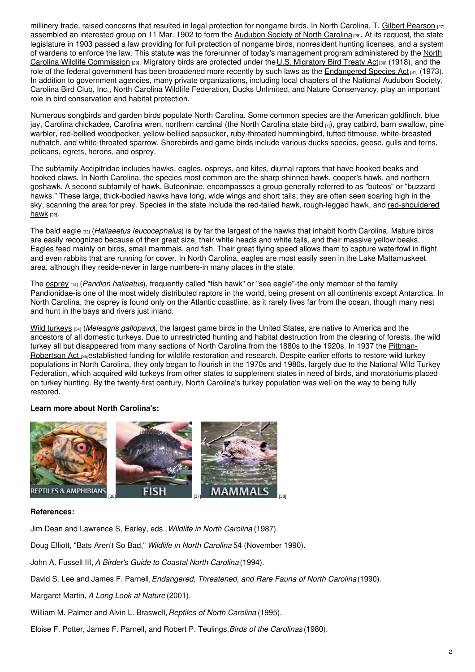millinery trade, raised concerns that resulted in legal protection for nongame birds. In North Carolina, T. Gilbert [Pearson](https://ncpedia.org/biography/pearson-thomas-gilbert) [27] assembled an interested group on 11 Mar. 1902 to form the [Audubon](https://ncpedia.org/audubon-society-north-carolina) Society of North Carolina [28]. At its request, the state legislature in 1903 passed a law providing for full protection of nongame birds, nonresident hunting licenses, and a system of wardens to enforce the law. This statute was the forerunner of today's [management](https://www.ncwildlife.org/) program administered by the North Carolina Wildlife Commission [29]. [Migratory](http://www.fws.gov/laws/lawsdigest/migtrea.html) birds are protected under the U.S. Migratory Bird Treaty Act[30] (1918), and the role of the federal government has been broadened more recently by such laws as the [Endangered](http://www.epa.gov/lawsregs/laws/esa.html) Species Act [31] (1973). In addition to government agencies, many private organizations, including local chapters of the National Audubon Society, Carolina Bird Club, Inc., North Carolina Wildlife Federation, Ducks Unlimited, and Nature Conservancy, play an important role in bird conservation and habitat protection.

Numerous songbirds and garden birds populate North Carolina. Some common species are the American goldfinch, blue jay, [Carolina](https://ncpedia.org/symbols/bird) chickadee, Carolina wren, northern cardinal (the North Carolina state bird [7]), gray catbird, barn swallow, pine warbler, red-bellied woodpecker, yellow-bellied sapsucker, ruby-throated hummingbird, tufted titmouse, white-breasted nuthatch, and white-throated sparrow. Shorebirds and game birds include various ducks species, geese, gulls and terns, pelicans, egrets, herons, and osprey.

The subfamily Accipitridae includes hawks, eagles, ospreys, and kites, diurnal raptors that have hooked beaks and hooked claws. In North Carolina, the species most common are the sharp-shinned hawk, cooper's hawk, and northern goshawk. A second subfamily of hawk, Buteoninae, encompasses a group generally referred to as "buteos" or "buzzard hawks." These large, thick-bodied hawks have long, wide wings and short tails; they are often seen soaring high in the sky, scanning the area for prey. Species in the state include the red-tailed hawk, rough-legged hawk, and [red-shouldered](https://ncpedia.org/red-shouldered-hawk-nc-wins) hawk [32].

The bald [eagle](http://www.allaboutbirds.org/guide/bald_eagle/id) [33] (*Haliaeetus leucocephalus*) is by far the largest of the hawks that inhabit North Carolina. Mature birds are easily recognized because of their great size, their white heads and white tails, and their massive yellow beaks. Eagles feed mainly on birds, small mammals, and fish. Their great flying speed allows them to capture waterfowl in flight and even rabbits that are running for cover. In North Carolina, eagles are most easily seen in the Lake Mattamuskeet area, although they reside-never in large numbers-in many places in the state.

The [osprey](https://ncpedia.org/wildlife/osprey) [14] (*Pandion haliaetus*), frequently called "fish hawk" or "sea eagle"-the only member of the family Pandionidae-is one of the most widely distributed raptors in the world, being present on all continents except Antarctica. In North Carolina, the osprey is found only on the Atlantic coastline, as it rarely lives far from the ocean, though many nest and hunt in the bays and rivers just inland.

Wild [turkeys](https://ncpedia.org/eastern-wild-turkey-nc-wins) [34] (*Meleagris gallopavo*), the largest game birds in the United States, are native to America and the ancestors of all domestic turkeys. Due to unrestricted hunting and habitat destruction from the clearing of forests, the wild turkey all but [disappeared](http://www.fws.gov/southeast/federalaid/pittmanrobertson.html) from many sections of North Carolina from the 1880s to the 1920s. In 1937 the Pittman-Robertson Act **[35]established funding for wildlife restoration and research**. Despite earlier efforts to restore wild turkey populations in North Carolina, they only began to flourish in the 1970s and 1980s, largely due to the National Wild Turkey Federation, which acquired wild turkeys from other states to supplement states in need of birds, and moratoriums placed on turkey hunting. By the twenty-first century, North Carolina's turkey population was well on the way to being fully restored.

## **Learn more about North Carolina's:**



### **References:**

Jim Dean and Lawrence S. Earley, eds.,*Wildlife in North Carolina* (1987).

Doug Elliott, "Bats Aren't So Bad," *Wildlife in North Carolina* 54 (November 1990).

John A. Fussell III, *A Birder's Guide to Coastal North Carolina* (1994).

David S. Lee and James F. Parnell,*Endangered, Threatened, and Rare Fauna of North Carolina*(1990).

Margaret Martin, *A Long Look at Nature* (2001).

William M. Palmer and Alvin L. Braswell,*Reptiles of North Carolina* (1995).

Eloise F. Potter, James F. Parnell, and Robert P. Teulings,*Birds of the Carolinas* (1980).